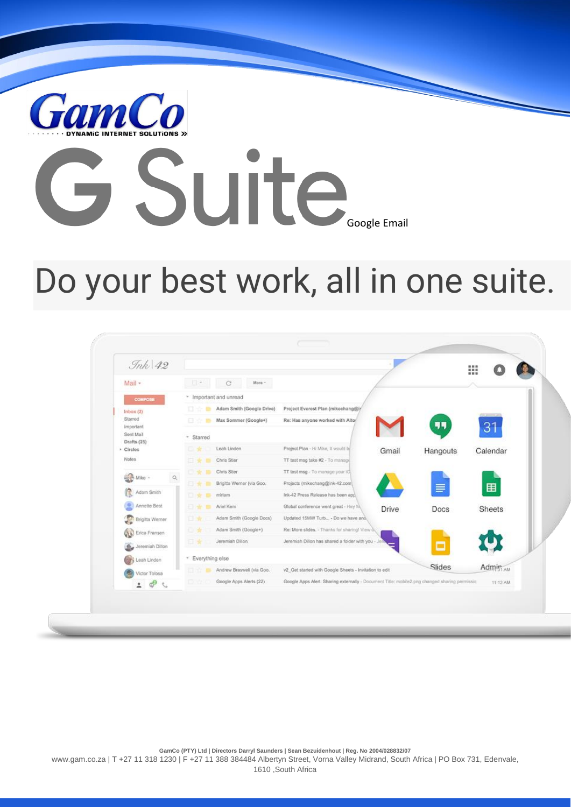

# Suite.

# Do your best work, all in one suite.

| $\mathcal{I}nk$ 42               |                   |                           |                                                                                                |       |          | m                   |
|----------------------------------|-------------------|---------------------------|------------------------------------------------------------------------------------------------|-------|----------|---------------------|
| Mail +                           | 日本                | G<br>$Moto =$             |                                                                                                |       |          |                     |
| <b>COMPOSE</b>                   |                   | - Important and unread    |                                                                                                |       |          |                     |
| lnbox(2)<br>Starred<br>Important | : 미 발             | Adam Smith (Google Drive) | Project Everest Plan (mikechang@ir)                                                            |       |          |                     |
|                                  | 日次                | Max Sommer (Google+)      | Re: Has anyone worked with Altor                                                               |       | 99       | 31                  |
| Sent Mail<br>Drafts (25)         | * Starred         |                           |                                                                                                |       |          |                     |
| Circles                          | 日光                | Leah Linden               | Project Plan - Hi Mike, It would be                                                            | Gmail | Hangouts | Calendar            |
| Notes                            | □★■               | Chris Stier               | TT test msg take #2 - To manage                                                                |       |          |                     |
| Mike -<br>$\alpha$               | 口米                | Chris Stier               | TT test msg - To manage your iC                                                                |       |          |                     |
|                                  | 日本                | Brigitta Werner (via Goo. | Projects (mikechang@ink-42.com)                                                                |       | $\equiv$ | $\blacksquare$      |
| Adam Smith                       | 口支                | miriam                    | Ink-42 Press Release has been app.                                                             |       |          |                     |
| Annette Best                     | 日本                | Ariel Kern                | Global conference went great - Hey M.                                                          | Drive | Docs     | <b>Sheets</b>       |
| Brigitta Werner                  | 日本                | Adam Smith (Google Docs)  | Updated 15MW Turb - Do we have ano,                                                            |       |          |                     |
| Erica Fransen                    | 日告                | Adam Smith (Google+)      | Re: More slides. - Thanks for sharing! View oil                                                |       |          |                     |
| G_ Jeremiah Dillon               | 日本                | Jeremiah Dilon            | Jeremiah Dillon has shared a folder with you - J                                               |       | Ξ        |                     |
| Leah Linden                      | * Everything else |                           |                                                                                                |       |          |                     |
| Victor Tolosa                    | ax                | Andrew Braswell (via Goo. | v2_Get started with Google Sheets - Invitation to edit                                         |       | Slides   | Admin <sub>AM</sub> |
| 202                              | 日立                | Google Apps Alerts (22)   | Google Apps Alert: Sharing externally - Document Title: mobile2.png changed sharing permissio. |       |          | 11:12 AM            |

**GamCo (PTY) Ltd | Directors Darryl Saunders | Sean Bezuidenhout | Reg. No 2004/028832/07** www.gam.co.za | T +27 11 318 1230 | F +27 11 388 384484 Albertyn Street, Vorna Valley Midrand, South Africa | PO Box 731, Edenvale, 1610 ,South Africa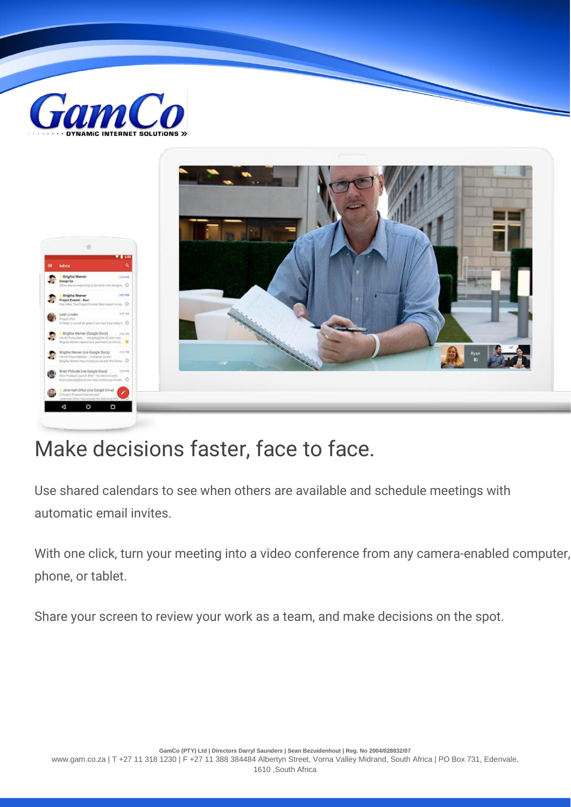



### Make decisions faster, face to face.

Use shared calendars to see when others are available and schedule meetings with automatic email invites.

With one click, turn your meeting into a video conference from any camera-enabled computer, phone, or tablet.

Share your screen to review your work as a team, and make decisions on the spot.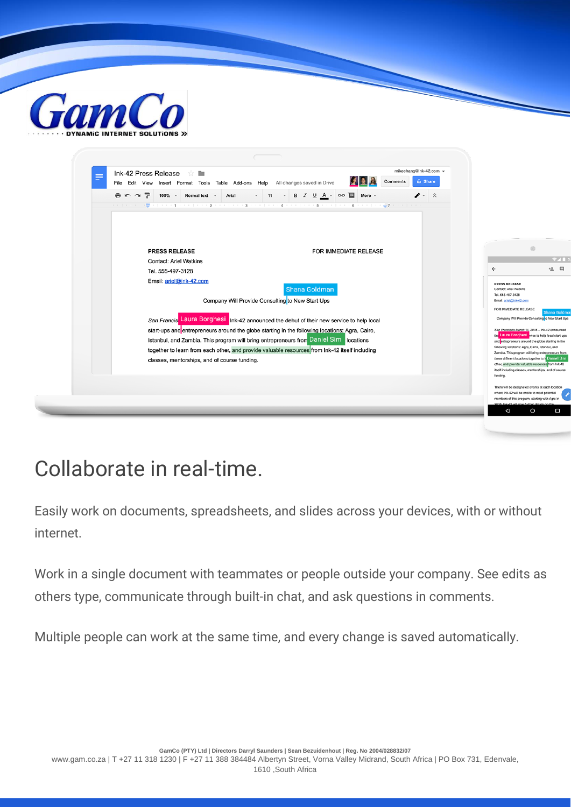

| Ink-42 Press Release<br>≡         | 53 D<br>File Edit View Insert Format Tools Table Add-ons Help All changes saved in Drive       |                                                                      | Comments | mikechang@ink-42.com ~<br><b>a</b> Share |                                                                                                         |
|-----------------------------------|------------------------------------------------------------------------------------------------|----------------------------------------------------------------------|----------|------------------------------------------|---------------------------------------------------------------------------------------------------------|
| $P \cap \gamma$<br>$100\%$ $\sim$ | Normal text v<br>Arial                                                                         | $\cdot$ 11 $\cdot$ B $I \cup A \cdot$ GO $\blacksquare$ More $\cdot$ |          | $\lambda$ - $\lambda$                    |                                                                                                         |
|                                   |                                                                                                |                                                                      |          |                                          |                                                                                                         |
|                                   |                                                                                                |                                                                      |          |                                          |                                                                                                         |
|                                   |                                                                                                |                                                                      |          |                                          |                                                                                                         |
| <b>PRESS RELEASE</b>              |                                                                                                | FOR IMMEDIATE RELEASE                                                |          |                                          |                                                                                                         |
| <b>Contact: Ariel Watkins</b>     |                                                                                                |                                                                      |          |                                          |                                                                                                         |
| Tel. 555-497-3128                 |                                                                                                |                                                                      |          |                                          | $\leftarrow$                                                                                            |
| Email: ariel@ink-42.com           |                                                                                                |                                                                      |          |                                          | <b>PRESS RELEASE</b>                                                                                    |
|                                   |                                                                                                | Shana Goldman                                                        |          |                                          | Contact: Ariel Watkins<br>Tel. 555-497-3128                                                             |
|                                   | Company Will Provide Consulting to New Start Ups                                               |                                                                      |          |                                          | Email: ariel@ink-42.com                                                                                 |
|                                   |                                                                                                |                                                                      |          |                                          | FOR IMMEDIATE RELEASE                                                                                   |
|                                   | San Francis Laura Borghesi Ink-42 announced the debut of their new service to help local       |                                                                      |          |                                          | Company Will Provide Consulting to New Start Ups                                                        |
|                                   | start-ups and entrepreneurs around the globe starting in the following locations: Agra, Cairo, |                                                                      |          |                                          | San Francisco March 11, 2016 - Ink-42 announced<br>the Laura Borghesi vice to help local start-ups      |
|                                   | Istanbul, and Zambia. This program will bring entrepreneurs from Daniel Sim locations          |                                                                      |          |                                          | and entrepreneurs around the globe starting in the<br>following locations: Agra, Cairo, Istanbul, and   |
|                                   | together to learn from each other, and provide valuable resources from Ink-42 itself including |                                                                      |          |                                          | Zambia. This program will bring entrepreneurs from                                                      |
|                                   | classes, mentorships, and of course funding.                                                   |                                                                      |          |                                          | these different locations together to I Daniel Sim<br>other, and provide valuable resources from Ink-42 |
|                                   |                                                                                                |                                                                      |          |                                          | itself including classes, mentorships, and of course<br>funding.                                        |
|                                   |                                                                                                |                                                                      |          |                                          | There will be designated events at each location                                                        |
|                                   |                                                                                                |                                                                      |          |                                          | where Ink-42 will be onsite to meet potential                                                           |
|                                   |                                                                                                |                                                                      |          |                                          | members of this program, starting with Agra in                                                          |

### Collaborate in real-time.

Easily work on documents, spreadsheets, and slides across your devices, with or without internet.

Work in a single document with teammates or people outside your company. See edits as others type, communicate through built-in chat, and ask questions in comments.

Multiple people can work at the same time, and every change is saved automatically.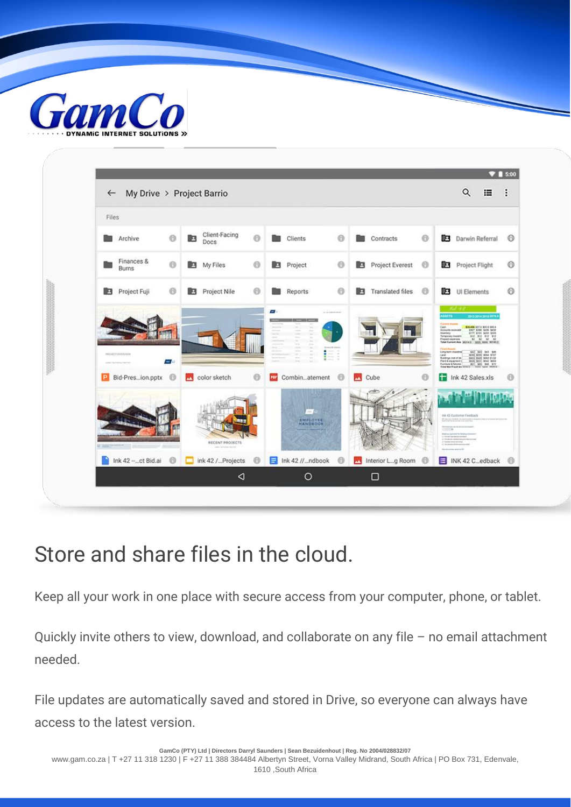



### Store and share files in the cloud.

Keep all your work in one place with secure access from your computer, phone, or tablet.

Quickly invite others to view, download, and collaborate on any file – no email attachment needed.

File updates are automatically saved and stored in Drive, so everyone can always have access to the latest version.